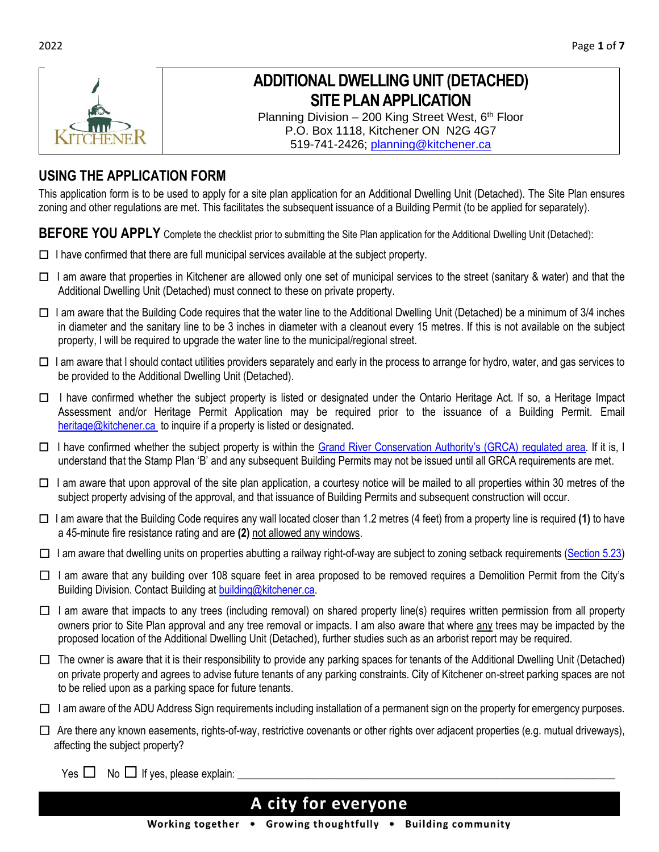

# **ADDITIONAL DWELLING UNIT (DETACHED) SITE PLAN APPLICATION**

Planning Division  $-200$  King Street West,  $6<sup>th</sup>$  Floor P.O. Box 1118, Kitchener ON N2G 4G7 519-741-2426; [planning@kitchener.ca](mailto:planning@kitchener.ca)

## **USING THE APPLICATION FORM**

This application form is to be used to apply for a site plan application for an Additional Dwelling Unit (Detached). The Site Plan ensures zoning and other regulations are met. This facilitates the subsequent issuance of a Building Permit (to be applied for separately).

**BEFORE YOU APPLY** Complete the checklist prior to submitting the Site Plan application for the Additional Dwelling Unit (Detached):

- ☐ I have confirmed that there are full municipal services available at the subject property.
- ☐ I am aware that properties in Kitchener are allowed only one set of municipal services to the street (sanitary & water) and that the Additional Dwelling Unit (Detached) must connect to these on private property.
- ☐ I am aware that the Building Code requires that the water line to the Additional Dwelling Unit (Detached) be a minimum of 3/4 inches in diameter and the sanitary line to be 3 inches in diameter with a cleanout every 15 metres. If this is not available on the subject property, I will be required to upgrade the water line to the municipal/regional street.
- □ I am aware that I should contact utilities providers separately and early in the process to arrange for hydro, water, and gas services to be provided to the Additional Dwelling Unit (Detached).
- ☐ I have confirmed whether the subject property is listed or designated under the Ontario Heritage Act. If so, a Heritage Impact Assessment and/or Heritage Permit Application may be required prior to the issuance of a Building Permit. Email [heritage@kitchener.ca](mailto:heritage@kitchener.ca) to inquire if a property is listed or designated.
- □ I have confirmed whether the subject property is within the [Grand River Conservation Authority's \(GRCA\)](https://www.grandriver.ca/en/Planning-Development/Map-Your-Property.aspx) regulated area. If it is, I understand that the Stamp Plan 'B' and any subsequent Building Permits may not be issued until all GRCA requirements are met.
- ☐ I am aware that upon approval of the site plan application, a courtesy notice will be mailed to all properties within 30 metres of the subject property advising of the approval, and that issuance of Building Permits and subsequent construction will occur.
- ☐ I am aware that the Building Code requires any wall located closer than 1.2 metres (4 feet) from a property line is required **(1)** to have a 45-minute fire resistance rating and are **(2)** not allowed any windows.
- $\Box$  I am aware that dwelling units on properties abutting a railway right-of-way are subject to zoning setback requirements [\(Section 5.23\)](https://app2.kitchener.ca/appdocs/Zonebylaw/PublishedCurrentText/Sections/Section%205%20-%20General%20Regulations.pdf)
- ☐ I am aware that any building over 108 square feet in area proposed to be removed requires a Demolition Permit from the City's Building Division. Contact Building at [building@kitchener.ca.](mailto:building@kitchener.ca)
- $\Box$  I am aware that impacts to any trees (including removal) on shared property line(s) requires written permission from all property owners prior to Site Plan approval and any tree removal or impacts. I am also aware that where any trees may be impacted by the proposed location of the Additional Dwelling Unit (Detached), further studies such as an arborist report may be required.
- $\Box$  The owner is aware that it is their responsibility to provide any parking spaces for tenants of the Additional Dwelling Unit (Detached) on private property and agrees to advise future tenants of any parking constraints. City of Kitchener on-street parking spaces are not to be relied upon as a parking space for future tenants.
- ☐ I am aware of the ADU Address Sign requirements including installation of a permanent sign on the property for emergency purposes.
- $\Box$  Are there any known easements, rights-of-way, restrictive covenants or other rights over adjacent properties (e.g. mutual driveways), affecting the subject property?

Yes  $\Box$  No  $\Box$  If yes, please explain:  $\Box$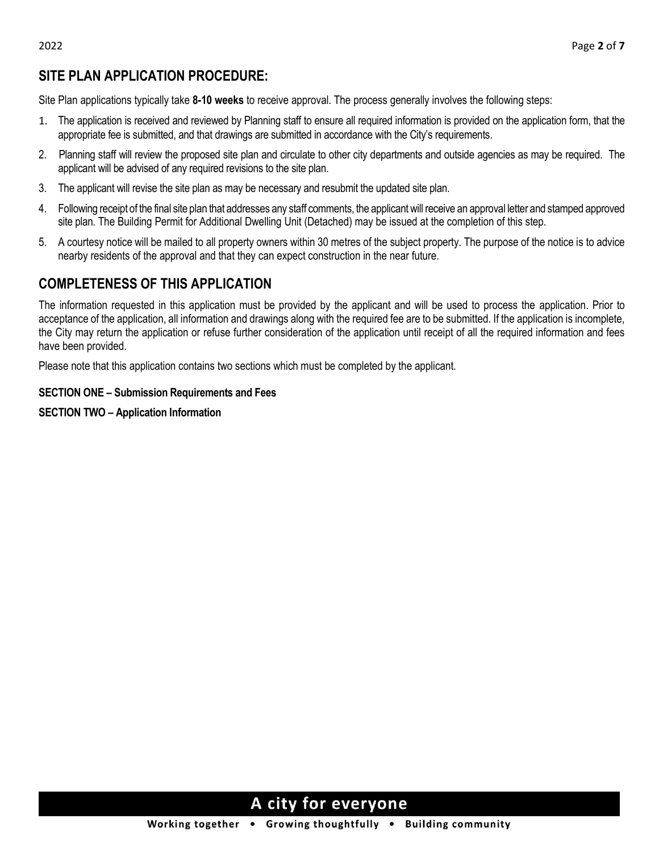## **SITE PLAN APPLICATION PROCEDURE:**

Site Plan applications typically take **8-10 weeks** to receive approval. The process generally involves the following steps:

- 1. The application is received and reviewed by Planning staff to ensure all required information is provided on the application form, that the appropriate fee is submitted, and that drawings are submitted in accordance with the City's requirements.
- 2. Planning staff will review the proposed site plan and circulate to other city departments and outside agencies as may be required. The applicant will be advised of any required revisions to the site plan.
- 3. The applicant will revise the site plan as may be necessary and resubmit the updated site plan.
- 4. Following receipt of the final site plan that addresses any staff comments, the applicant will receive an approval letter and stamped approved site plan. The Building Permit for Additional Dwelling Unit (Detached) may be issued at the completion of this step.
- 5. A courtesy notice will be mailed to all property owners within 30 metres of the subject property. The purpose of the notice is to advice nearby residents of the approval and that they can expect construction in the near future.

### **COMPLETENESS OF THIS APPLICATION**

The information requested in this application must be provided by the applicant and will be used to process the application. Prior to acceptance of the application, all information and drawings along with the required fee are to be submitted. If the application is incomplete, the City may return the application or refuse further consideration of the application until receipt of all the required information and fees have been provided.

Please note that this application contains two sections which must be completed by the applicant.

#### **SECTION ONE – Submission Requirements and Fees**

#### **SECTION TWO – Application Information**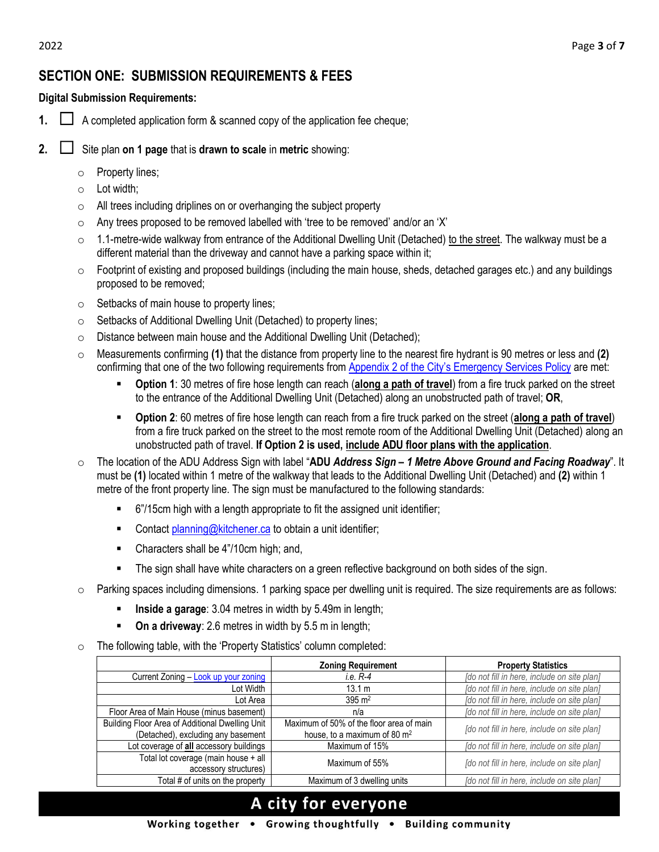## **SECTION ONE: SUBMISSION REQUIREMENTS & FEES**

#### **Digital Submission Requirements:**

- **1.**  $\Box$  A completed application form & scanned copy of the application fee cheque;
- **2.** ☐ Site plan **on 1 page** that is **drawn to scale** in **metric** showing:
	- o Property lines;
	- $\circ$  Lot width;
	- $\circ$  All trees including driplines on or overhanging the subject property
	- o Any trees proposed to be removed labelled with 'tree to be removed' and/or an 'X'
	- $\circ$  1.1-metre-wide walkway from entrance of the Additional Dwelling Unit (Detached) to the street. The walkway must be a different material than the driveway and cannot have a parking space within it;
	- $\circ$  Footprint of existing and proposed buildings (including the main house, sheds, detached garages etc.) and any buildings proposed to be removed;
	- $\circ$  Setbacks of main house to property lines;
	- o Setbacks of Additional Dwelling Unit (Detached) to property lines;
	- o Distance between main house and the Additional Dwelling Unit (Detached);
	- o Measurements confirming **(1)** that the distance from property line to the nearest fire hydrant is 90 metres or less and **(2)**  confirming that one of the two following requirements from [Appendix 2 of the City's Emergency Services Policy](https://www.kitchener.ca/en/resourcesGeneral/Documents/DSD_PLAN_Emergency_Service_Policy.pdf#page=20) are met:
		- **Option 1**: 30 metres of fire hose length can reach (**along a path of travel**) from a fire truck parked on the street to the entrance of the Additional Dwelling Unit (Detached) along an unobstructed path of travel; **OR**,
		- **Option 2**: 60 metres of fire hose length can reach from a fire truck parked on the street (**along a path of travel**) from a fire truck parked on the street to the most remote room of the Additional Dwelling Unit (Detached) along an unobstructed path of travel. **If Option 2 is used, include ADU floor plans with the application**.
	- o The location of the ADU Address Sign with label "**ADU** *Address Sign – 1 Metre Above Ground and Facing Roadway*". It must be **(1)** located within 1 metre of the walkway that leads to the Additional Dwelling Unit (Detached) and **(2)** within 1 metre of the front property line. The sign must be manufactured to the following standards:
		- 6"/15cm high with a length appropriate to fit the assigned unit identifier;
		- Contac[t planning@kitchener.ca](mailto:planning@kitchener.ca) to obtain a unit identifier;
		- Characters shall be 4"/10cm high; and,
		- **•** The sign shall have white characters on a green reflective background on both sides of the sign.
	- o Parking spaces including dimensions. 1 parking space per dwelling unit is required. The size requirements are as follows:
		- **EXEDENCE A garage:** 3.04 metres in width by 5.49m in length;
		- **On a driveway**: 2.6 metres in width by 5.5 m in length;
	- o The following table, with the 'Property Statistics' column completed:

|                                                 | <b>Zoning Requirement</b>                | <b>Property Statistics</b>                  |
|-------------------------------------------------|------------------------------------------|---------------------------------------------|
| Current Zoning - Look up your zoning            | <i>i.e.</i> R-4                          | [do not fill in here, include on site plan] |
| Lot Width                                       | 13.1 m                                   | [do not fill in here, include on site plan] |
| Lot Area                                        | $395 \text{ m}^2$                        | [do not fill in here, include on site plan] |
| Floor Area of Main House (minus basement)       | n/a                                      | [do not fill in here, include on site plan] |
| Building Floor Area of Additional Dwelling Unit | Maximum of 50% of the floor area of main | [do not fill in here, include on site plan] |
| (Detached), excluding any basement              | house, to a maximum of 80 m <sup>2</sup> |                                             |
| Lot coverage of all accessory buildings         | Maximum of 15%                           | [do not fill in here, include on site plan] |
| Total lot coverage (main house + all            | Maximum of 55%                           | [do not fill in here, include on site plan] |
| accessory structures)                           |                                          |                                             |
| Total # of units on the property                | Maximum of 3 dwelling units              | [do not fill in here, include on site plan] |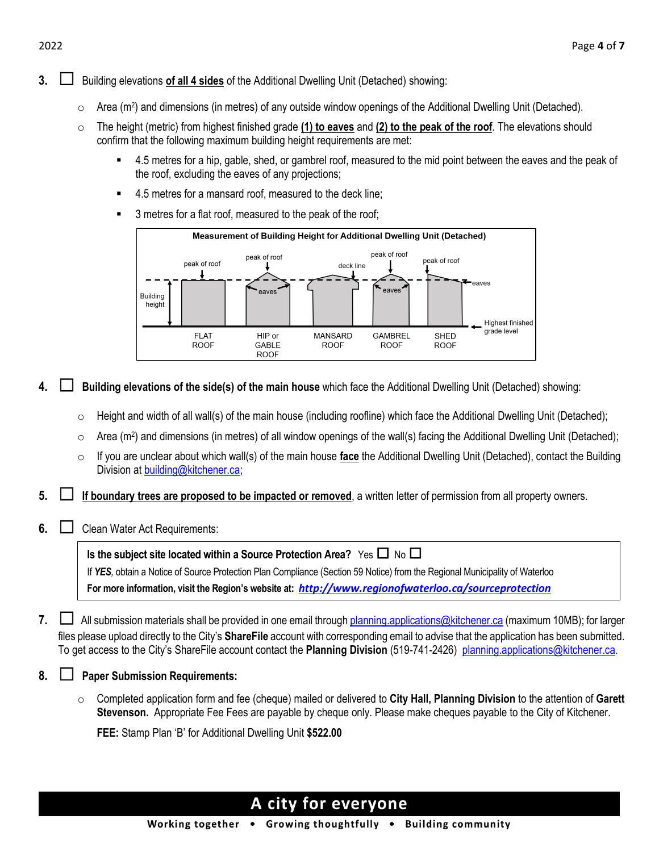#### **3.** └**│** Building elevations of all 4 sides of the Additional Dwelling Unit (Detached) showing:

- $\circ$  Area (m<sup>2</sup>) and dimensions (in metres) of any outside window openings of the Additional Dwelling Unit (Detached).
- o The height (metric) from highest finished grade **(1) to eaves** and **(2) to the peak of the roof**. The elevations should confirm that the following maximum building height requirements are met:
	- 4.5 metres for a hip, gable, shed, or gambrel roof, measured to the mid point between the eaves and the peak of the roof, excluding the eaves of any projections;
	- 4.5 metres for a mansard roof, measured to the deck line;
	- 3 metres for a flat roof, measured to the peak of the roof;



**4.** ☐ **Building elevations of the side(s) of the main house** which face the Additional Dwelling Unit (Detached) showing:

- $\circ$  Height and width of all wall(s) of the main house (including roofline) which face the Additional Dwelling Unit (Detached);
- $\circ$  Area (m<sup>2</sup>) and dimensions (in metres) of all window openings of the wall(s) facing the Additional Dwelling Unit (Detached);
- o If you are unclear about which wall(s) of the main house **face** the Additional Dwelling Unit (Detached), contact the Building Division at [building@kitchener.ca;](mailto:building@kitchener.ca)
- **5.** ☐ **If boundary trees are proposed to be impacted or removed**, a written letter of permission from all property owners.
- **6.**  $\Box$  Clean Water Act Requirements:

| Is the subject site located within a Source Protection Area? Yes $\Box$ No $\Box$                                           |
|-----------------------------------------------------------------------------------------------------------------------------|
| If YES, obtain a Notice of Source Protection Plan Compliance (Section 59 Notice) from the Regional Municipality of Waterloo |
| For more information, visit the Region's website at: http://www.regionofwaterloo.ca/sourceprotection                        |

- 7. └**□** All submission materials shall be provided in one email throug[h planning.applications@kitchener.ca](mailto:planning.applications@kitchener.ca) (maximum 10MB); for larger files please upload directly to the City's **ShareFile** account with corresponding email to advise that the application has been submitted. To get access to the City's ShareFile account contact the **Planning Division** (519-741-2426) [planning.applications@kitchener.ca](mailto:janine.oosterveld@kitchener.ca).
- **8.** ☐ **Paper Submission Requirements:**
	- o Completed application form and fee (cheque) mailed or delivered to **City Hall, Planning Division** to the attention of **Garett Stevenson.** Appropriate Fee Fees are payable by cheque only. Please make cheques payable to the City of Kitchener.

**FEE:** Stamp Plan 'B' for Additional Dwelling Unit **\$522.00**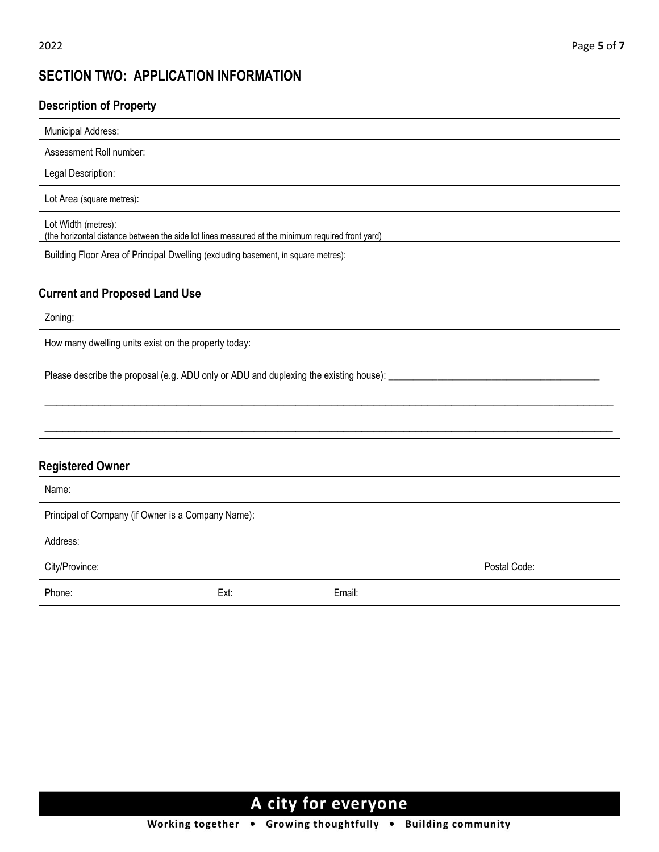## **SECTION TWO: APPLICATION INFORMATION**

### **Description of Property**

| <b>Municipal Address:</b>                                                                                                                                                                                    |
|--------------------------------------------------------------------------------------------------------------------------------------------------------------------------------------------------------------|
| Assessment Roll number:                                                                                                                                                                                      |
| Legal Description:                                                                                                                                                                                           |
| Lot Area (square metres):                                                                                                                                                                                    |
| Lot Width (metres):<br>(the horizontal distance between the side lot lines measured at the minimum required front yard)<br>Building Floor Area of Principal Dwelling (excluding basement, in square metres): |

### **Current and Proposed Land Use**

Zoning:

How many dwelling units exist on the property today:

Please describe the proposal (e.g. ADU only or ADU and duplexing the existing house):  $\_\_$ 

### **Registered Owner**

| Name:                                              |      |        |              |
|----------------------------------------------------|------|--------|--------------|
| Principal of Company (if Owner is a Company Name): |      |        |              |
| Address:                                           |      |        |              |
| City/Province:                                     |      |        | Postal Code: |
| Phone:                                             | Ext: | Email: |              |

\_\_\_\_\_\_\_\_\_\_\_\_\_\_\_\_\_\_\_\_\_\_\_\_\_\_\_\_\_\_\_\_\_\_\_\_\_\_\_\_\_\_\_\_\_\_\_\_\_\_\_\_\_\_\_\_\_\_\_\_\_\_\_\_\_\_\_\_\_\_\_\_\_\_\_\_\_\_\_\_\_\_\_\_\_\_\_\_\_\_\_\_\_\_\_

\_\_\_\_\_\_\_\_\_\_\_\_\_\_\_\_\_\_\_\_\_\_\_\_\_\_\_\_\_\_\_\_\_\_\_\_\_\_\_\_\_\_\_\_\_\_\_\_\_\_\_\_\_\_\_\_\_\_\_\_\_\_\_\_\_\_\_\_\_\_\_\_\_\_\_\_\_\_\_\_\_\_\_\_\_\_\_\_\_\_\_\_\_\_\_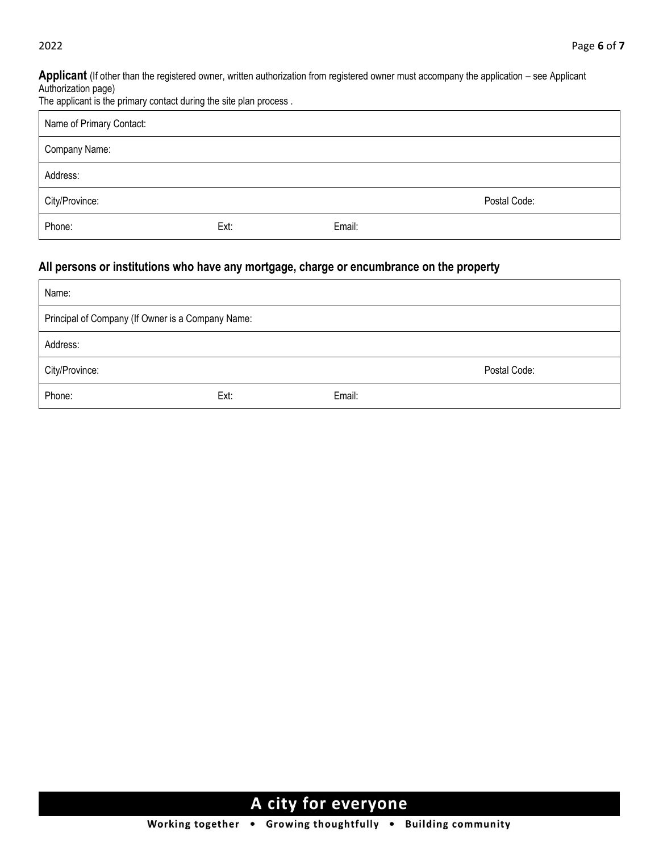**Applicant** (If other than the registered owner, written authorization from registered owner must accompany the application – see Applicant Authorization page)

| The applicant is the primary contact during the site plan process. |  |  |  |  |
|--------------------------------------------------------------------|--|--|--|--|

| Name of Primary Contact: |      |        |              |
|--------------------------|------|--------|--------------|
| Company Name:            |      |        |              |
| Address:                 |      |        |              |
| City/Province:           |      |        | Postal Code: |
| Phone:                   | Ext: | Email: |              |

### **All persons or institutions who have any mortgage, charge or encumbrance on the property**

| Name:                                             |      |        |              |
|---------------------------------------------------|------|--------|--------------|
| Principal of Company (If Owner is a Company Name: |      |        |              |
| Address:                                          |      |        |              |
| City/Province:                                    |      |        | Postal Code: |
| Phone:                                            | Ext: | Email: |              |